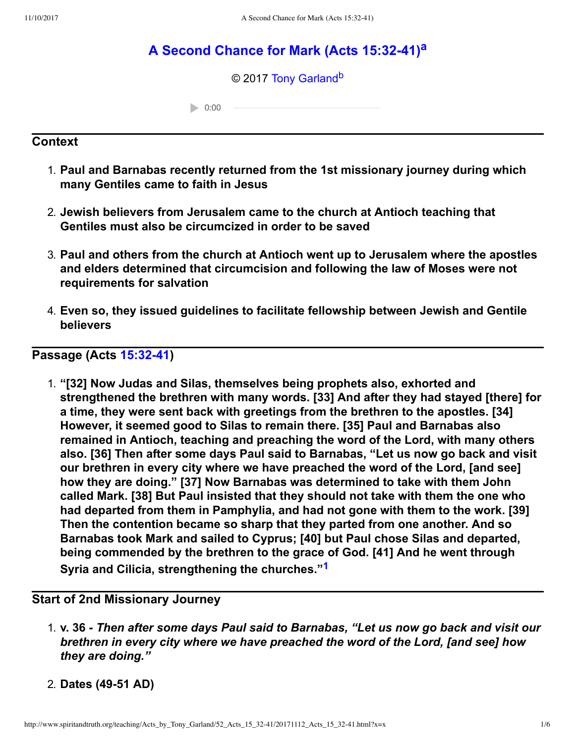# **[A Second Chance for Mark \(Acts 15:3241\)](http://www.spiritandtruth.org/teaching/Acts_by_Tony_Garland/52_Acts_15_32-41/index.htm)[a](#page-5-0)**

<span id="page-0-3"></span><span id="page-0-2"></span>© 2017 [Tony Garland](http://www.spiritandtruth.org/id/tg.htm)<sup>[b](#page-5-1)</sup>

 $0:00$ 

## **Context**

- 1. **Paul and Barnabas recently returned from the 1st missionary journey during which many Gentiles came to faith in Jesus**
- 2. **Jewish believers from Jerusalem came to the church at Antioch teaching that Gentiles must also be circumcized in order to be saved**
- 3. **Paul and others from the church at Antioch went up to Jerusalem where the apostles and elders determined that circumcision and following the law of Moses were not requirements for salvation**
- 4. **Even so, they issued guidelines to facilitate fellowship between Jewish and Gentile believers**

**Passage (Acts [15:3241\)](http://www.spiritandtruth.org/bibles/nasb/b44c015.htm#Acts_C15V32)**

<span id="page-0-1"></span>1. **"[32] Now Judas and Silas, themselves being prophets also, exhorted and strengthened the brethren with many words. [33] And after they had stayed [there] for a time, they were sent back with greetings from the brethren to the apostles. [34] However, it seemed good to Silas to remain there. [35] Paul and Barnabas also remained in Antioch, teaching and preaching the word of the Lord, with many others also. [36] Then after some days Paul said to Barnabas, "Let us now go back and visit our brethren in every city where we have preached the word of the Lord, [and see] how they are doing." [37] Now Barnabas was determined to take with them John called Mark. [38] But Paul insisted that they should not take with them the one who had departed from them in Pamphylia, and had not gone with them to the work. [39] Then the contention became so sharp that they parted from one another. And so Barnabas took Mark and sailed to Cyprus; [40] but Paul chose Silas and departed, being commended by the brethren to the grace of God. [41] And he went through Syria and Cilicia, strengthening the churches."[1](#page-5-2)**

## **Start of 2nd Missionary Journey**

- <span id="page-0-0"></span>1. **v. 36** *Then after some days Paul said to Barnabas, "Let us now go back and visit our brethren in every city where we have preached the word of the Lord, [and see] how they are doing."*
- 2. **Dates (4951 AD)**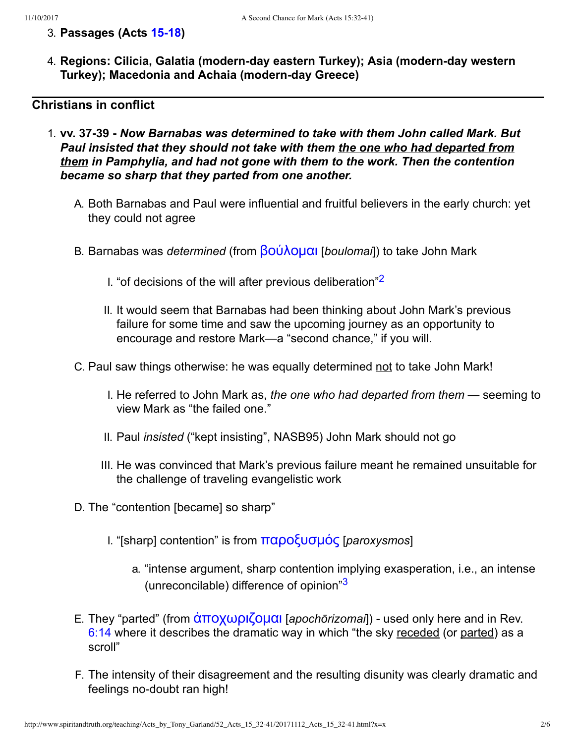- 3. **Passages (Acts [1518\)](http://www.spiritandtruth.org/bibles/nasb/b44c015.htm#Acts_C15V1)**
- 4. **Regions: Cilicia, Galatia (modern-day eastern Turkey); Asia (modern-day western Turkey); Macedonia and Achaia (modern-day Greece)**

## **Christians in conflict**

- <span id="page-1-1"></span><span id="page-1-0"></span>1. **vv. 3739** *Now Barnabas was determined to take with them John called Mark. But Paul insisted that they should not take with them the one who had departed from them in Pamphylia, and had not gone with them to the work. Then the contention became so sharp that they parted from one another.*
	- A. Both Barnabas and Paul were influential and fruitful believers in the early church: yet they could not agree
	- B. Barnabas was *determined* (from **βούλομαι** [*boulomai*]) to take John Mark
		- I. "of decisions of the will after previous deliberation"[2](#page-5-3)
		- II. It would seem that Barnabas had been thinking about John Mark's previous failure for some time and saw the upcoming journey as an opportunity to encourage and restore Mark—a "second chance," if you will.
	- C. Paul saw things otherwise: he was equally determined not to take John Mark!
		- I. He referred to John Mark as, *the one who had departed from them* seeming to view Mark as "the failed one."
		- II. Paul *insisted* ("kept insisting", NASB95) John Mark should not go
		- III. He was convinced that Mark's previous failure meant he remained unsuitable for the challenge of traveling evangelistic work
	- D. The "contention [became] so sharp"
		- I. "[sharp] contention" is from παροξυσμός [paroxysmos]
			- a. "intense argument, sharp contention implying exasperation, i.e., an intense (unreconcilable) difference of opinion"[3](#page-5-4)
	- E. They "parted" (from  $\alpha \pi \partial x \omega \partial \partial \mu \alpha$ ι [*apochōrizomai*]) used only here and in Rev. [6:14](http://www.spiritandtruth.org/bibles/nasb/b66c006.htm#Rev._C6V14) where it describes the dramatic way in which "the sky receded (or parted) as a scroll"
	- F. The intensity of their disagreement and the resulting disunity was clearly dramatic and feelings no-doubt ran high!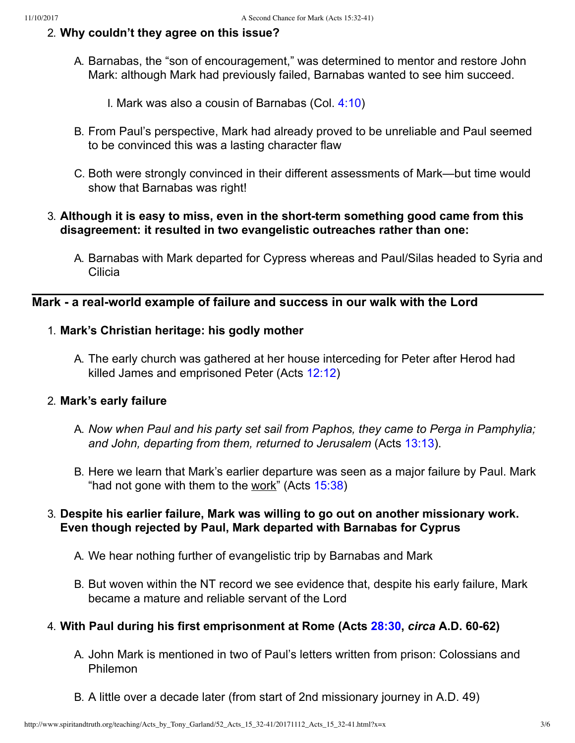## 2. **Why couldn't they agree on this issue?**

A. Barnabas, the "son of encouragement," was determined to mentor and restore John Mark: although Mark had previously failed, Barnabas wanted to see him succeed.

I. Mark was also a cousin of Barnabas (Col. [4:10\)](http://www.spiritandtruth.org/bibles/nasb/b51c004.htm#Col._C4V10)

- B. From Paul's perspective, Mark had already proved to be unreliable and Paul seemed to be convinced this was a lasting character flaw
- C. Both were strongly convinced in their different assessments of Mark—but time would show that Barnabas was right!

## 3. Although it is easy to miss, even in the short-term something good came from this **disagreement: it resulted in two evangelistic outreaches rather than one:**

A. Barnabas with Mark departed for Cypress whereas and Paul/Silas headed to Syria and Cilicia

## Mark - a real-world example of failure and success in our walk with the Lord

## 1. **Mark's Christian heritage: his godly mother**

A. The early church was gathered at her house interceding for Peter after Herod had killed James and emprisoned Peter (Acts [12:12](http://www.spiritandtruth.org/bibles/nasb/b44c012.htm#Acts_C12V12))

## 2. **Mark's early failure**

- A. *Now when Paul and his party set sail from Paphos, they came to Perga in Pamphylia; and John, departing from them, returned to Jerusalem* (Acts [13:13\)](http://www.spiritandtruth.org/bibles/nasb/b44c013.htm#Acts_C13V13).
- B. Here we learn that Mark's earlier departure was seen as a major failure by Paul. Mark "had not gone with them to the work" (Acts [15:38\)](http://www.spiritandtruth.org/bibles/nasb/b44c015.htm#Acts_C15V38)

## 3. **Despite his earlier failure, Mark was willing to go out on another missionary work. Even though rejected by Paul, Mark departed with Barnabas for Cyprus**

- A. We hear nothing further of evangelistic trip by Barnabas and Mark
- B. But woven within the NT record we see evidence that, despite his early failure, Mark became a mature and reliable servant of the Lord

## 4. **With Paul during his first emprisonment at Rome (Acts [28:30](http://www.spiritandtruth.org/bibles/nasb/b44c028.htm#Acts_C28V30),** *circa* **A.D. 6062)**

- A. John Mark is mentioned in two of Paul's letters written from prison: Colossians and Philemon
- B. A little over a decade later (from start of 2nd missionary journey in A.D. 49)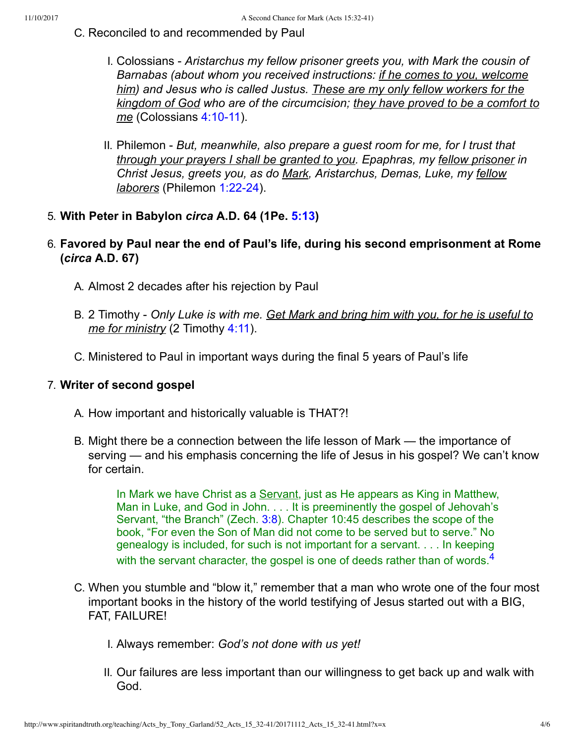- C. Reconciled to and recommended by Paul
	- I. Colossians *Aristarchus my fellow prisoner greets you, with Mark the cousin of Barnabas (about whom you received instructions: if he comes to you, welcome him) and Jesus who is called Justus. These are my only fellow workers for the kingdom of God who are of the circumcision; they have proved to be a comfort to me* (Colossians 4:10-11).
	- II. Philemon *But, meanwhile, also prepare a guest room for me, for I trust that through your prayers I shall be granted to you. Epaphras, my fellow prisoner in Christ Jesus, greets you, as do Mark, Aristarchus, Demas, Luke, my fellow laborers* (Philemon 1:22-24).
- 5. **With Peter in Babylon** *circa* **A.D. 64 (1Pe. [5:13\)](http://www.spiritandtruth.org/bibles/nasb/b60c005.htm#1Pe._C5V13)**
- 6. **Favored by Paul near the end of Paul's life, during his second emprisonment at Rome (***circa* **A.D. 67)**
	- A. Almost 2 decades after his rejection by Paul
	- B. 2 Timothy *Only Luke is with me. Get Mark and bring him with you, for he is useful to me for ministry* (2 Timothy [4:11](http://www.spiritandtruth.org/bibles/nasb/b55c004.htm#2Ti._C4V11)).
	- C. Ministered to Paul in important ways during the final 5 years of Paul's life

### 7. **Writer of second gospel**

- A. How important and historically valuable is THAT?!
- B. Might there be a connection between the life lesson of Mark the importance of serving — and his emphasis concerning the life of Jesus in his gospel? We can't know for certain.

<span id="page-3-0"></span>In Mark we have Christ as a Servant, just as He appears as King in Matthew, Man in Luke, and God in John. . . . It is preeminently the gospel of Jehovah's Servant, "the Branch" (Zech. [3:8\)](http://www.spiritandtruth.org/bibles/nasb/b38c003.htm#Zec._C3V8). Chapter 10:45 describes the scope of the book, "For even the Son of Man did not come to be served but to serve." No genealogy is included, for such is not important for a servant. . . . In keeping with the servant character, the gospel is one of deeds rather than of words. $4$ 

- C. When you stumble and "blow it," remember that a man who wrote one of the four most important books in the history of the world testifying of Jesus started out with a BIG, FAT, FAILURE!
	- I. Always remember: *God's not done with us yet!*
	- II. Our failures are less important than our willingness to get back up and walk with God.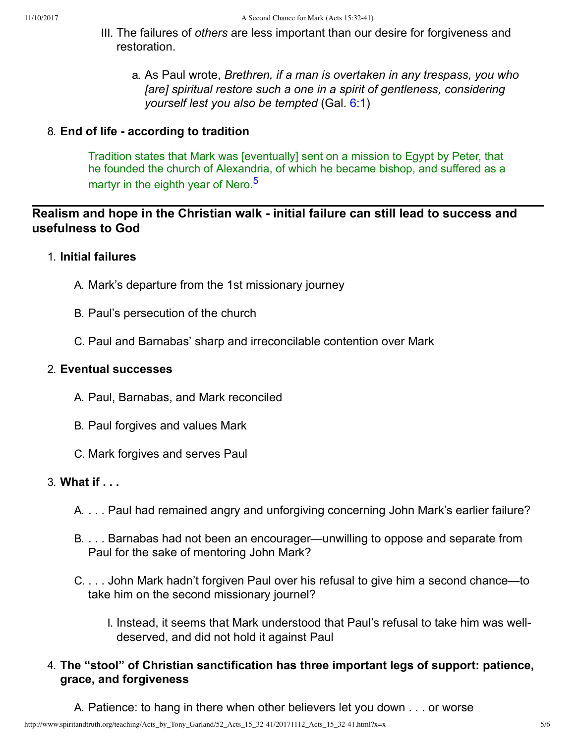- III. The failures of *others* are less important than our desire for forgiveness and restoration.
	- a. As Paul wrote, *Brethren, if a man is overtaken in any trespass, you who [are] spiritual restore such a one in a spirit of gentleness, considering yourself lest you also be tempted* (Gal. [6:1](http://www.spiritandtruth.org/bibles/nasb/b48c006.htm#Gal._C6V1))

### 8. **End of life according to tradition**

<span id="page-4-0"></span>Tradition states that Mark was [eventually] sent on a mission to Egypt by Peter, that he founded the church of Alexandria, of which he became bishop, and suffered as a martyr in the eighth year of Nero.<sup>[5](#page-5-6)</sup>

## Realism and hope in the Christian walk - initial failure can still lead to success and **usefulness to God**

### 1. **Initial failures**

- A. Mark's departure from the 1st missionary journey
- B. Paul's persecution of the church
- C. Paul and Barnabas' sharp and irreconcilable contention over Mark

### 2. **Eventual successes**

- A. Paul, Barnabas, and Mark reconciled
- B. Paul forgives and values Mark
- C. Mark forgives and serves Paul

## 3. **What if . . .**

- A. . . . Paul had remained angry and unforgiving concerning John Mark's earlier failure?
- B. . . . Barnabas had not been an encourager—unwilling to oppose and separate from Paul for the sake of mentoring John Mark?
- C. . . . John Mark hadn't forgiven Paul over his refusal to give him a second chance—to take him on the second missionary journel?
	- I. Instead, it seems that Mark understood that Paul's refusal to take him was welldeserved, and did not hold it against Paul

## 4. **The "stool" of Christian sanctification has three important legs of support: patience, grace, and forgiveness**

A. Patience: to hang in there when other believers let you down . . . or worse